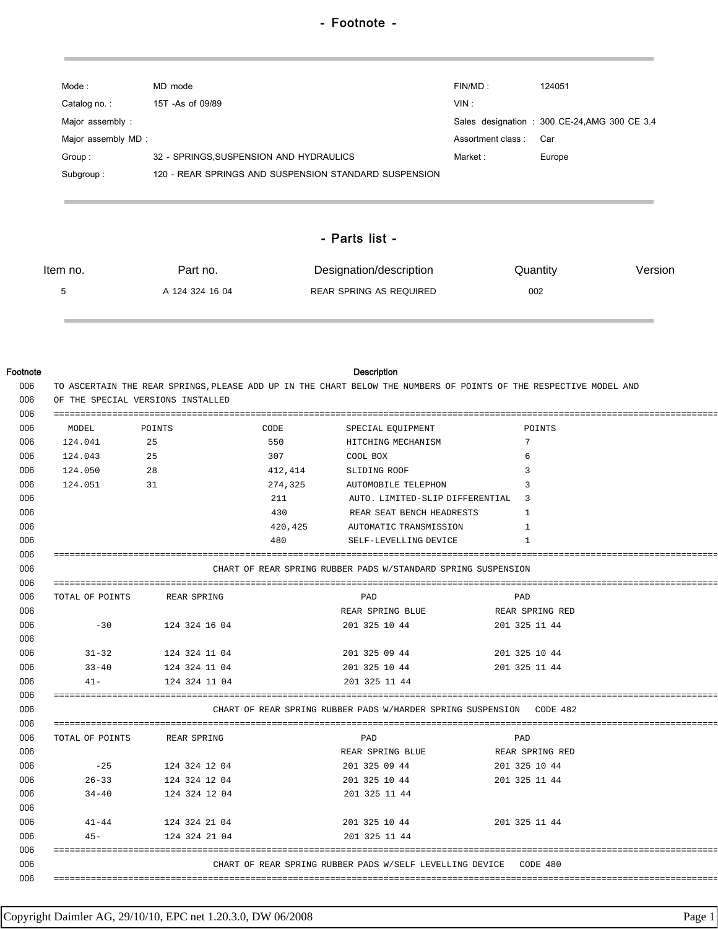| Mode:               | MD mode                                               | FIN/MD:           | 124051                                        |
|---------------------|-------------------------------------------------------|-------------------|-----------------------------------------------|
| Catalog no.:        | 15T - As of 09/89                                     | VIN:              |                                               |
| Major assembly:     |                                                       |                   | Sales designation : 300 CE-24, AMG 300 CE 3.4 |
| Major assembly MD : |                                                       | Assortment class: | Car                                           |
| Group:              | 32 - SPRINGS, SUSPENSION AND HYDRAULICS               | Market :          | Europe                                        |
| Subgroup:           | 120 - REAR SPRINGS AND SUSPENSION STANDARD SUSPENSION |                   |                                               |
|                     |                                                       |                   |                                               |
|                     |                                                       |                   |                                               |
|                     | - Parts list -                                        |                   |                                               |

## - Parts list -

| Item no. | Part no.        | Designation/description | Quantity | Version |
|----------|-----------------|-------------------------|----------|---------|
|          | A 124 324 16 04 | REAR SPRING AS REQUIRED | 002      |         |

## Footnote Description

| MODEL      | POINTS                      | CODE    | SPECIAL EQUIPMENT                                                    | POINTS          |
|------------|-----------------------------|---------|----------------------------------------------------------------------|-----------------|
| 124.041 25 |                             | 550     | HITCHING MECHANISM                                                   | $7\phantom{0}$  |
| 124.043    | 25                          | 307     | <b>COOL BOX</b>                                                      | 6               |
| 124.050    | 28                          |         | 412,414 SLIDING ROOF                                                 | 3               |
| 124.051    | 31                          |         | 274,325 AUTOMOBILE TELEPHON                                          | 3               |
|            |                             | 211     | AUTO. LIMITED-SLIP DIFFERENTIAL 3                                    |                 |
|            |                             | 430     | REAR SEAT BENCH HEADRESTS                                            | 1               |
|            |                             | 420,425 | AUTOMATIC TRANSMISSION                                               | 1               |
|            |                             | 480     | SELF-LEVELLING DEVICE                                                | $\mathbf{1}$    |
|            |                             |         |                                                                      |                 |
|            |                             |         | CHART OF REAR SPRING RUBBER PADS W/STANDARD SPRING SUSPENSION        |                 |
|            |                             |         |                                                                      |                 |
|            | TOTAL OF POINTS REAR SPRING |         | PAD                                                                  | PAD             |
|            |                             |         | REAR SPRING BLUE                                                     | REAR SPRING RED |
| $-30$      | 124 324 16 04               |         | 201 325 10 44                                                        | 201 325 11 44   |
|            |                             |         |                                                                      |                 |
| $31 - 32$  | 124 324 11 04               |         | 201 325 09 44 201 325 10 44                                          |                 |
|            | 33-40 124 324 11 04         |         | 201 325 10 44 201 325 11 44                                          |                 |
|            | 41- 124 324 11 04           |         | 201 325 11 44                                                        |                 |
|            |                             |         |                                                                      |                 |
|            |                             |         | CHART OF REAR SPRING RUBBER PADS W/HARDER SPRING SUSPENSION CODE 482 |                 |
|            | TOTAL OF POINTS REAR SPRING |         | PAD                                                                  | PAD             |
|            |                             |         | REAR SPRING BLUE THE REAR SPRING RED                                 |                 |
| $-25$      | 124 324 12 04               |         | 201 325 09 44                                                        | 201 325 10 44   |
| $26 - 33$  | 124 324 12 04               |         | 201 325 10 44                                                        | 201 325 11 44   |
| $34 - 40$  | 124 324 12 04               |         | 201 325 11 44                                                        |                 |
|            |                             |         |                                                                      |                 |
| $41 - 44$  | 124 324 21 04               |         | 201 325 10 44                                                        | 201 325 11 44   |
| $45 -$     | 124 324 21 04               |         | 201 325 11 44                                                        |                 |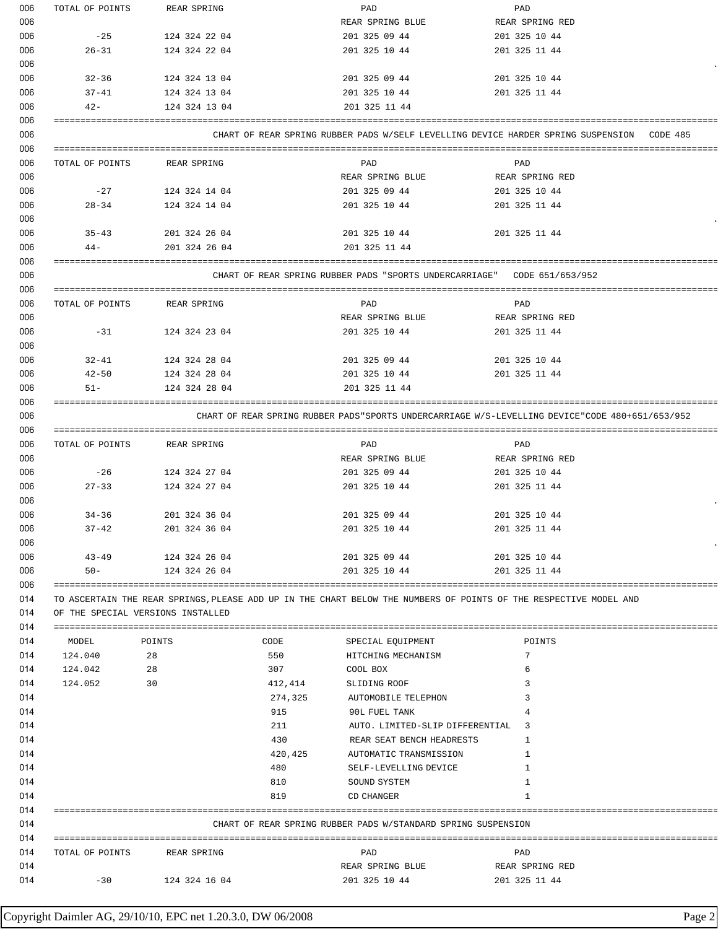| 006 | TOTAL OF POINTS | <b>REAR SPRING</b>                |         | PAD                                                           | PAD                                                                                                               |
|-----|-----------------|-----------------------------------|---------|---------------------------------------------------------------|-------------------------------------------------------------------------------------------------------------------|
| 006 |                 |                                   |         | REAR SPRING BLUE                                              | REAR SPRING RED                                                                                                   |
| 006 | $-25$           | 124 324 22 04                     |         | 201 325 09 44                                                 | 201 325 10 44                                                                                                     |
| 006 | $26 - 31$       | 124 324 22 04                     |         | 201 325 10 44                                                 | 201 325 11 44                                                                                                     |
| 006 |                 |                                   |         |                                                               |                                                                                                                   |
| 006 | $32 - 36$       | 124 324 13 04                     |         | 201 325 09 44                                                 | 201 325 10 44                                                                                                     |
| 006 | 37-41           | 124 324 13 04                     |         | 201 325 10 44                                                 | 201 325 11 44                                                                                                     |
| 006 | $42 -$          | 124 324 13 04                     |         | 201 325 11 44                                                 |                                                                                                                   |
| 006 |                 |                                   |         |                                                               |                                                                                                                   |
| 006 |                 |                                   |         |                                                               | CHART OF REAR SPRING RUBBER PADS W/SELF LEVELLING DEVICE HARDER SPRING SUSPENSION CODE 485                        |
| 006 |                 |                                   |         |                                                               |                                                                                                                   |
| 006 | TOTAL OF POINTS | REAR SPRING                       |         | PAD                                                           | PAD                                                                                                               |
| 006 |                 |                                   |         | REAR SPRING BLUE                                              | REAR SPRING RED                                                                                                   |
| 006 | $-27$           | 124 324 14 04                     |         | 201 325 09 44                                                 | 201 325 10 44                                                                                                     |
| 006 | $28 - 34$       |                                   |         | 201 325 10 44                                                 | 201 325 11 44                                                                                                     |
|     |                 | 124 324 14 04                     |         |                                                               |                                                                                                                   |
| 006 |                 |                                   |         |                                                               |                                                                                                                   |
| 006 | $35 - 43$       | 201 324 26 04                     |         | 201 325 10 44                                                 | 201 325 11 44                                                                                                     |
| 006 | $44 -$          | 201 324 26 04                     |         | 201 325 11 44                                                 |                                                                                                                   |
| 006 |                 |                                   |         |                                                               |                                                                                                                   |
| 006 |                 |                                   |         |                                                               | CHART OF REAR SPRING RUBBER PADS "SPORTS UNDERCARRIAGE" CODE 651/653/952                                          |
| 006 |                 |                                   |         |                                                               |                                                                                                                   |
| 006 | TOTAL OF POINTS | REAR SPRING                       |         | PAD                                                           | PAD                                                                                                               |
| 006 |                 |                                   |         | REAR SPRING BLUE                                              | REAR SPRING RED                                                                                                   |
| 006 | $-31$           | 124 324 23 04                     |         | 201 325 10 44                                                 | 201 325 11 44                                                                                                     |
| 006 |                 |                                   |         |                                                               |                                                                                                                   |
| 006 | 32-41           | 124 324 28 04                     |         | 201 325 09 44                                                 | 201 325 10 44                                                                                                     |
| 006 | $42 - 50$       | 124 324 28 04                     |         | 201 325 10 44                                                 | 201 325 11 44                                                                                                     |
| 006 | $51 -$          | 124 324 28 04                     |         | 201 325 11 44                                                 |                                                                                                                   |
| 006 |                 |                                   |         |                                                               |                                                                                                                   |
| 006 |                 |                                   |         |                                                               | CHART OF REAR SPRING RUBBER PADS"SPORTS UNDERCARRIAGE W/S-LEVELLING DEVICE"CODE 480+651/653/952                   |
| 006 |                 |                                   |         |                                                               |                                                                                                                   |
| 006 | TOTAL OF POINTS | REAR SPRING                       |         | PAD                                                           | PAD                                                                                                               |
| 006 |                 |                                   |         | REAR SPRING BLUE                                              | REAR SPRING RED                                                                                                   |
| 006 | $-26$           | 124 324 27 04                     |         | 201 325 09 44                                                 | 201 325 10 44                                                                                                     |
| 006 | $27 - 33$       | 124 324 27 04                     |         | 201 325 10 44                                                 | 201 325 11 44                                                                                                     |
| 006 |                 |                                   |         |                                                               |                                                                                                                   |
| 006 | $34 - 36$       | 201 324 36 04                     |         | 201 325 09 44                                                 | 201 325 10 44                                                                                                     |
| 006 | $37 - 42$       | 201 324 36 04                     |         | 201 325 10 44                                                 | 201 325 11 44                                                                                                     |
| 006 |                 |                                   |         |                                                               |                                                                                                                   |
| 006 | $43 - 49$       | 124 324 26 04                     |         | 201 325 09 44                                                 | 201 325 10 44                                                                                                     |
| 006 | $50 -$          | 124 324 26 04                     |         | 201 325 10 44                                                 | 201 325 11 44                                                                                                     |
| 006 |                 |                                   |         |                                                               |                                                                                                                   |
| 014 |                 |                                   |         |                                                               | TO ASCERTAIN THE REAR SPRINGS, PLEASE ADD UP IN THE CHART BELOW THE NUMBERS OF POINTS OF THE RESPECTIVE MODEL AND |
| 014 |                 | OF THE SPECIAL VERSIONS INSTALLED |         |                                                               |                                                                                                                   |
| 014 |                 |                                   |         |                                                               |                                                                                                                   |
| 014 | MODEL           | POINTS                            | CODE    | SPECIAL EQUIPMENT                                             | POINTS                                                                                                            |
| 014 | 124.040         | 28                                | 550     | HITCHING MECHANISM                                            | 7                                                                                                                 |
| 014 | 124.042         | 28                                | 307     | COOL BOX                                                      | 6                                                                                                                 |
| 014 | 124.052         | 30                                | 412,414 | SLIDING ROOF                                                  | 3                                                                                                                 |
| 014 |                 |                                   | 274,325 | AUTOMOBILE TELEPHON                                           | 3                                                                                                                 |
| 014 |                 |                                   | 915     | 90L FUEL TANK                                                 | 4                                                                                                                 |
| 014 |                 |                                   | 211     | AUTO. LIMITED-SLIP DIFFERENTIAL 3                             |                                                                                                                   |
| 014 |                 |                                   |         |                                                               | 1                                                                                                                 |
|     |                 |                                   | 430     | REAR SEAT BENCH HEADRESTS                                     |                                                                                                                   |
| 014 |                 |                                   | 420,425 | AUTOMATIC TRANSMISSION                                        | 1                                                                                                                 |
| 014 |                 |                                   | 480     | SELF-LEVELLING DEVICE                                         | 1                                                                                                                 |
| 014 |                 |                                   | 810     | SOUND SYSTEM                                                  | 1                                                                                                                 |
| 014 |                 |                                   | 819     | CD CHANGER                                                    | -1                                                                                                                |
| 014 |                 |                                   |         |                                                               |                                                                                                                   |
| 014 |                 |                                   |         | CHART OF REAR SPRING RUBBER PADS W/STANDARD SPRING SUSPENSION |                                                                                                                   |
| 014 |                 |                                   |         |                                                               |                                                                                                                   |
| 014 |                 | TOTAL OF POINTS REAR SPRING       |         | PAD                                                           | PAD                                                                                                               |
| 014 |                 |                                   |         | REAR SPRING BLUE                                              | REAR SPRING RED                                                                                                   |
| 014 | $-30$           | 124 324 16 04                     |         | 201 325 10 44                                                 | 201 325 11 44                                                                                                     |
|     |                 |                                   |         |                                                               |                                                                                                                   |